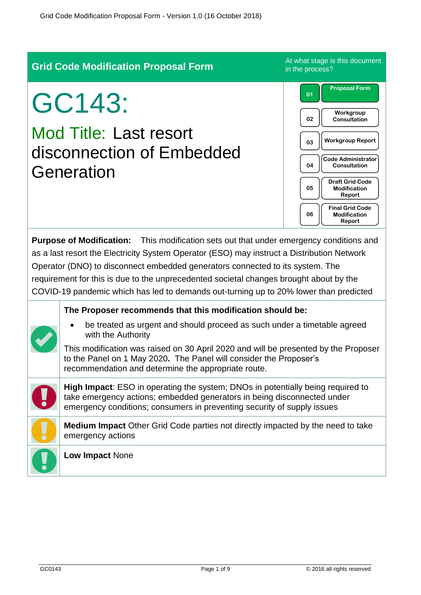| <b>Grid Code Modification Proposal Form</b>                                                                                                                                                                                                                                                                                                                                                                                                                         |                                                                                                                                                                                                                                                                                                                                                                                 | At what stage is this document<br>in the process?                                                                                                                                                                                                                                                 |
|---------------------------------------------------------------------------------------------------------------------------------------------------------------------------------------------------------------------------------------------------------------------------------------------------------------------------------------------------------------------------------------------------------------------------------------------------------------------|---------------------------------------------------------------------------------------------------------------------------------------------------------------------------------------------------------------------------------------------------------------------------------------------------------------------------------------------------------------------------------|---------------------------------------------------------------------------------------------------------------------------------------------------------------------------------------------------------------------------------------------------------------------------------------------------|
| GC143:<br><b>Mod Title: Last resort</b><br>disconnection of Embedded<br>Generation                                                                                                                                                                                                                                                                                                                                                                                  |                                                                                                                                                                                                                                                                                                                                                                                 | <b>Proposal Form</b><br>01<br>Workgroup<br>02<br><b>Consultation</b><br><b>Workgroup Report</b><br>03<br><b>Code Administrator</b><br>04<br><b>Consultation</b><br><b>Draft Grid Code</b><br>05<br><b>Modification</b><br>Report<br><b>Final Grid Code</b><br>06<br><b>Modification</b><br>Report |
| <b>Purpose of Modification:</b><br>This modification sets out that under emergency conditions and<br>as a last resort the Electricity System Operator (ESO) may instruct a Distribution Network<br>Operator (DNO) to disconnect embedded generators connected to its system. The<br>requirement for this is due to the unprecedented societal changes brought about by the<br>COVID-19 pandemic which has led to demands out-turning up to 20% lower than predicted |                                                                                                                                                                                                                                                                                                                                                                                 |                                                                                                                                                                                                                                                                                                   |
|                                                                                                                                                                                                                                                                                                                                                                                                                                                                     | The Proposer recommends that this modification should be:<br>be treated as urgent and should proceed as such under a timetable agreed<br>with the Authority<br>This modification was raised on 30 April 2020 and will be presented by the Proposer<br>to the Panel on 1 May 2020. The Panel will consider the Proposer's<br>recommendation and determine the appropriate route. |                                                                                                                                                                                                                                                                                                   |
|                                                                                                                                                                                                                                                                                                                                                                                                                                                                     | High Impact: ESO in operating the system; DNOs in potentially being required to<br>take emergency actions; embedded generators in being disconnected under<br>emergency conditions; consumers in preventing security of supply issues                                                                                                                                           |                                                                                                                                                                                                                                                                                                   |
|                                                                                                                                                                                                                                                                                                                                                                                                                                                                     | Medium Impact Other Grid Code parties not directly impacted by the need to take<br>emergency actions                                                                                                                                                                                                                                                                            |                                                                                                                                                                                                                                                                                                   |
|                                                                                                                                                                                                                                                                                                                                                                                                                                                                     | Low Impact None                                                                                                                                                                                                                                                                                                                                                                 |                                                                                                                                                                                                                                                                                                   |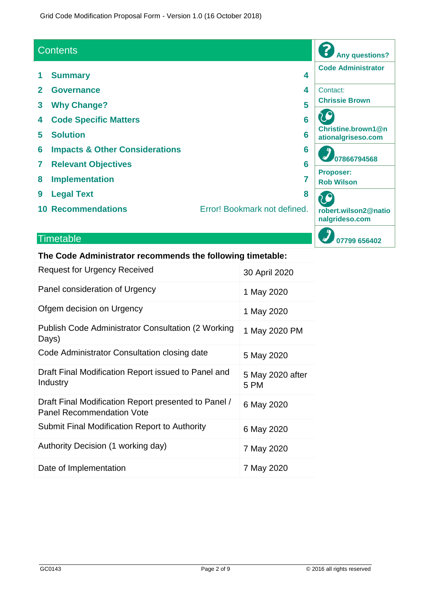Grid Code Modification Proposal Form - Version 1.0 (16 October 2018)

#### **Contents**

- 
- 
- 
- 
- 
- **6 Impacts & Other Considerations 6**
- 
- 
- 
- 
- **Code Administrator 1 Summary 4 2 Governance 4** Contact: **Chrissie Brown 3 Why Change? 5** C **4 Code Specific Matters 6 Christine.brown1@n 5 Solution 6 ationalgriseso.com 07866794568 7 Relevant Objectives 6 Proposer: 8 Implementation 7 Rob Wilson 9 Legal Text 8** C **10 Recommendations** Error! Bookmark not defined. **robert.wilson2@natio nalgrideso.com 07799 656402**

**Any questions?**

?

#### **Timetable**

#### **The Code Administrator recommends the following timetable:**

| <b>Request for Urgency Received</b>                                                      | 30 April 2020            |
|------------------------------------------------------------------------------------------|--------------------------|
| Panel consideration of Urgency                                                           | 1 May 2020               |
| Ofgem decision on Urgency                                                                | 1 May 2020               |
| <b>Publish Code Administrator Consultation (2 Working</b><br>Days)                       | 1 May 2020 PM            |
| Code Administrator Consultation closing date                                             | 5 May 2020               |
| Draft Final Modification Report issued to Panel and<br>Industry                          | 5 May 2020 after<br>5 PM |
| Draft Final Modification Report presented to Panel /<br><b>Panel Recommendation Vote</b> | 6 May 2020               |
| Submit Final Modification Report to Authority                                            | 6 May 2020               |
| Authority Decision (1 working day)                                                       | 7 May 2020               |
| Date of Implementation                                                                   | 7 May 2020               |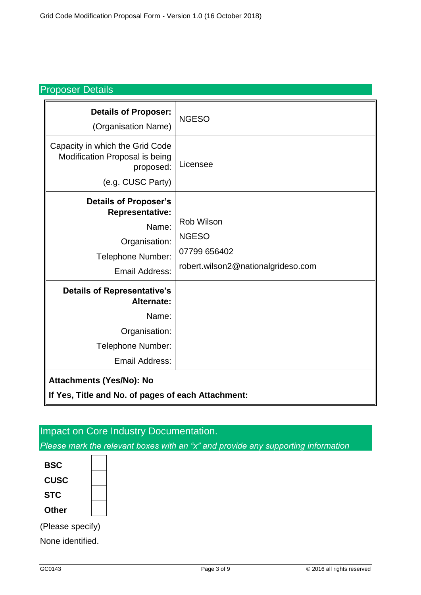#### Proposer Details

| <b>Details of Proposer:</b><br>(Organisation Name)                                                                                                                                                         | <b>NGESO</b>                                                                     |
|------------------------------------------------------------------------------------------------------------------------------------------------------------------------------------------------------------|----------------------------------------------------------------------------------|
| Capacity in which the Grid Code<br>Modification Proposal is being<br>proposed:<br>(e.g. CUSC Party)                                                                                                        | Licensee                                                                         |
| <b>Details of Proposer's</b><br><b>Representative:</b><br>Name:<br>Organisation:<br>Telephone Number:<br><b>Email Address:</b>                                                                             | Rob Wilson<br><b>NGESO</b><br>07799 656402<br>robert.wilson2@nationalgrideso.com |
| <b>Details of Representative's</b><br>Alternate:<br>Name:<br>Organisation:<br>Telephone Number:<br><b>Email Address:</b><br>Attachments (Yes/No): No<br>If Yes, Title and No. of pages of each Attachment: |                                                                                  |

# Impact on Core Industry Documentation.

*Please mark the relevant boxes with an "x" and provide any supporting information*



None identified.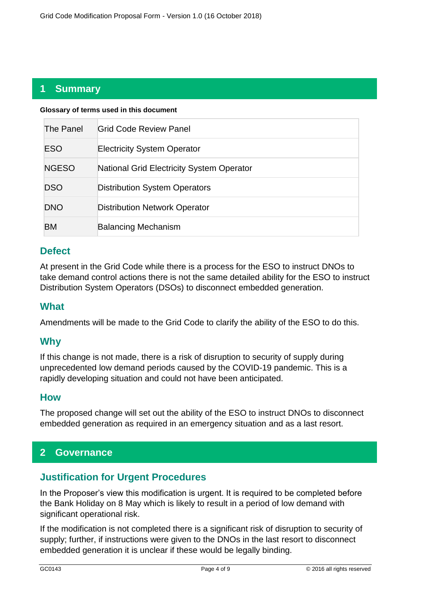## **1 Summary**

| Glossary of terms used in this document |                                                  |  |
|-----------------------------------------|--------------------------------------------------|--|
| The Panel                               | <b>Grid Code Review Panel</b>                    |  |
| <b>ESO</b>                              | <b>Electricity System Operator</b>               |  |
| <b>NGESO</b>                            | <b>National Grid Electricity System Operator</b> |  |
| <b>DSO</b>                              | <b>Distribution System Operators</b>             |  |
| <b>DNO</b>                              | <b>Distribution Network Operator</b>             |  |
| <b>BM</b>                               | <b>Balancing Mechanism</b>                       |  |

## **Defect**

At present in the Grid Code while there is a process for the ESO to instruct DNOs to take demand control actions there is not the same detailed ability for the ESO to instruct Distribution System Operators (DSOs) to disconnect embedded generation.

#### **What**

Amendments will be made to the Grid Code to clarify the ability of the ESO to do this.

#### **Why**

If this change is not made, there is a risk of disruption to security of supply during unprecedented low demand periods caused by the COVID-19 pandemic. This is a rapidly developing situation and could not have been anticipated.

#### **How**

The proposed change will set out the ability of the ESO to instruct DNOs to disconnect embedded generation as required in an emergency situation and as a last resort.

## **2 Governance**

#### **Justification for Urgent Procedures**

In the Proposer's view this modification is urgent. It is required to be completed before the Bank Holiday on 8 May which is likely to result in a period of low demand with significant operational risk.

If the modification is not completed there is a significant risk of disruption to security of supply; further, if instructions were given to the DNOs in the last resort to disconnect embedded generation it is unclear if these would be legally binding.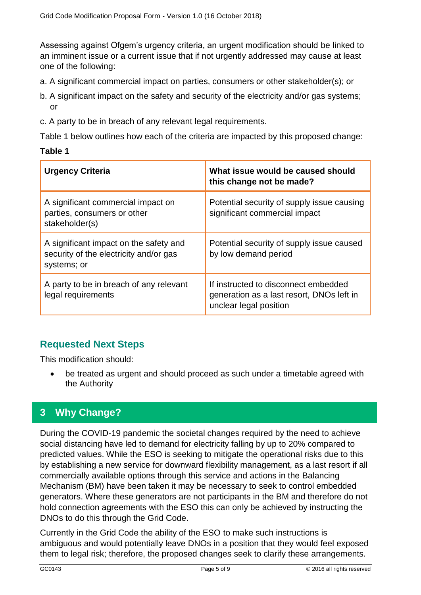Assessing against Ofgem's urgency criteria, an urgent modification should be linked to an imminent issue or a current issue that if not urgently addressed may cause at least one of the following:

- a. A significant commercial impact on parties, consumers or other stakeholder(s); or
- b. A significant impact on the safety and security of the electricity and/or gas systems; or
- c. A party to be in breach of any relevant legal requirements.

Table 1 below outlines how each of the criteria are impacted by this proposed change:

#### **Table 1**

| <b>Urgency Criteria</b>                                                                         | What issue would be caused should<br>this change not be made?                                               |
|-------------------------------------------------------------------------------------------------|-------------------------------------------------------------------------------------------------------------|
| A significant commercial impact on<br>parties, consumers or other<br>stakeholder(s)             | Potential security of supply issue causing<br>significant commercial impact                                 |
| A significant impact on the safety and<br>security of the electricity and/or gas<br>systems; or | Potential security of supply issue caused<br>by low demand period                                           |
| A party to be in breach of any relevant<br>legal requirements                                   | If instructed to disconnect embedded<br>generation as a last resort, DNOs left in<br>unclear legal position |

## **Requested Next Steps**

This modification should:

• be treated as urgent and should proceed as such under a timetable agreed with the Authority

# **3 Why Change?**

During the COVID-19 pandemic the societal changes required by the need to achieve social distancing have led to demand for electricity falling by up to 20% compared to predicted values. While the ESO is seeking to mitigate the operational risks due to this by establishing a new service for downward flexibility management, as a last resort if all commercially available options through this service and actions in the Balancing Mechanism (BM) have been taken it may be necessary to seek to control embedded generators. Where these generators are not participants in the BM and therefore do not hold connection agreements with the ESO this can only be achieved by instructing the DNOs to do this through the Grid Code.

Currently in the Grid Code the ability of the ESO to make such instructions is ambiguous and would potentially leave DNOs in a position that they would feel exposed them to legal risk; therefore, the proposed changes seek to clarify these arrangements.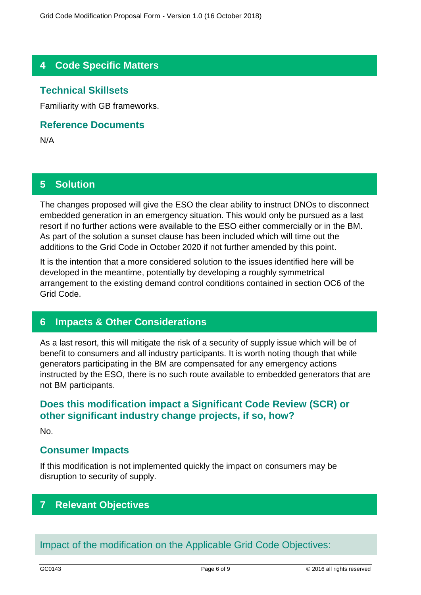# **4 Code Specific Matters**

### **Technical Skillsets**

Familiarity with GB frameworks.

#### **Reference Documents**

N/A

### **5 Solution**

The changes proposed will give the ESO the clear ability to instruct DNOs to disconnect embedded generation in an emergency situation. This would only be pursued as a last resort if no further actions were available to the ESO either commercially or in the BM. As part of the solution a sunset clause has been included which will time out the additions to the Grid Code in October 2020 if not further amended by this point.

It is the intention that a more considered solution to the issues identified here will be developed in the meantime, potentially by developing a roughly symmetrical arrangement to the existing demand control conditions contained in section OC6 of the Grid Code.

#### **6 Impacts & Other Considerations**

As a last resort, this will mitigate the risk of a security of supply issue which will be of benefit to consumers and all industry participants. It is worth noting though that while generators participating in the BM are compensated for any emergency actions instructed by the ESO, there is no such route available to embedded generators that are not BM participants.

### **Does this modification impact a Significant Code Review (SCR) or other significant industry change projects, if so, how?**

No.

#### **Consumer Impacts**

If this modification is not implemented quickly the impact on consumers may be disruption to security of supply.

## **7 Relevant Objectives**

Impact of the modification on the Applicable Grid Code Objectives: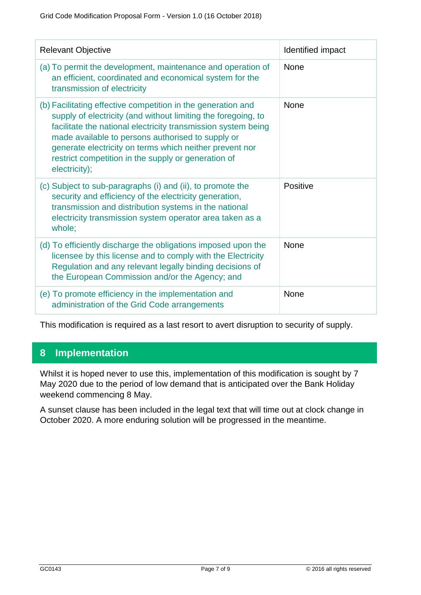| <b>Relevant Objective</b>                                                                                                                                                                                                                                                                                                                                                              | Identified impact |
|----------------------------------------------------------------------------------------------------------------------------------------------------------------------------------------------------------------------------------------------------------------------------------------------------------------------------------------------------------------------------------------|-------------------|
| (a) To permit the development, maintenance and operation of<br>an efficient, coordinated and economical system for the<br>transmission of electricity                                                                                                                                                                                                                                  | <b>None</b>       |
| (b) Facilitating effective competition in the generation and<br>supply of electricity (and without limiting the foregoing, to<br>facilitate the national electricity transmission system being<br>made available to persons authorised to supply or<br>generate electricity on terms which neither prevent nor<br>restrict competition in the supply or generation of<br>electricity); | <b>None</b>       |
| (c) Subject to sub-paragraphs (i) and (ii), to promote the<br>security and efficiency of the electricity generation,<br>transmission and distribution systems in the national<br>electricity transmission system operator area taken as a<br>whole;                                                                                                                                    | Positive          |
| (d) To efficiently discharge the obligations imposed upon the<br>licensee by this license and to comply with the Electricity<br>Regulation and any relevant legally binding decisions of<br>the European Commission and/or the Agency; and                                                                                                                                             | None              |
| (e) To promote efficiency in the implementation and<br>administration of the Grid Code arrangements                                                                                                                                                                                                                                                                                    | <b>None</b>       |

This modification is required as a last resort to avert disruption to security of supply.

# **8 Implementation**

Whilst it is hoped never to use this, implementation of this modification is sought by 7 May 2020 due to the period of low demand that is anticipated over the Bank Holiday weekend commencing 8 May.

A sunset clause has been included in the legal text that will time out at clock change in October 2020. A more enduring solution will be progressed in the meantime.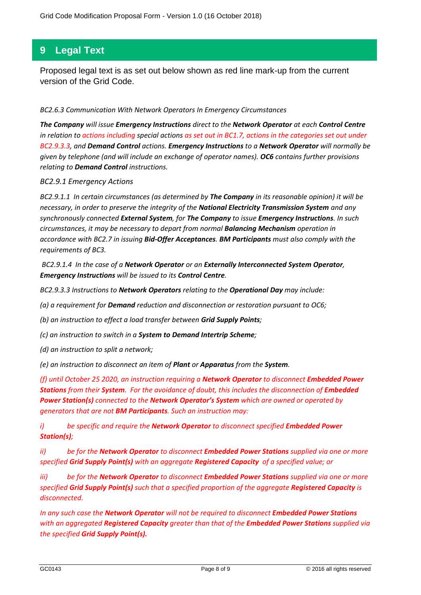## **9 Legal Text**

Proposed legal text is as set out below shown as red line mark-up from the current version of the Grid Code.

#### *BC2.6.3 Communication With Network Operators In Emergency Circumstances*

*The Company will issue Emergency Instructions direct to the Network Operator at each Control Centre in relation to actions including special actions as set out in BC1.7, actions in the categories set out under BC2.9.3.3, and Demand Control actions. Emergency Instructions to a Network Operator will normally be given by telephone (and will include an exchange of operator names). OC6 contains further provisions relating to Demand Control instructions.*

#### *BC2.9.1 Emergency Actions*

*BC2.9.1.1 In certain circumstances (as determined by The Company in its reasonable opinion) it will be necessary, in order to preserve the integrity of the National Electricity Transmission System and any synchronously connected External System, for The Company to issue Emergency Instructions. In such circumstances, it may be necessary to depart from normal Balancing Mechanism operation in accordance with BC2.7 in issuing Bid-Offer Acceptances. BM Participants must also comply with the requirements of BC3.*

*BC2.9.1.4 In the case of a Network Operator or an Externally Interconnected System Operator, Emergency Instructions will be issued to its Control Centre.*

*BC2.9.3.3 Instructions to Network Operators relating to the Operational Day may include:*

*(a) a requirement for Demand reduction and disconnection or restoration pursuant to OC6;*

*(b) an instruction to effect a load transfer between Grid Supply Points;*

*(c) an instruction to switch in a System to Demand Intertrip Scheme;*

*(d) an instruction to split a network;*

*(e) an instruction to disconnect an item of Plant or Apparatus from the System.*

*(f) until October 25 2020, an instruction requiring a Network Operator to disconnect Embedded Power Stations from their System. For the avoidance of doubt, this includes the disconnection of Embedded Power Station(s) connected to the Network Operator's System which are owned or operated by generators that are not BM Participants. Such an instruction may:*

*i) be specific and require the Network Operator to disconnect specified Embedded Power Station(s);*

*ii) be for the Network Operator to disconnect Embedded Power Stations supplied via one or more specified Grid Supply Point(s) with an aggregate Registered Capacity of a specified value; or*

*iii) be for the Network Operator to disconnect Embedded Power Stations supplied via one or more specified Grid Supply Point(s) such that a specified proportion of the aggregate Registered Capacity is disconnected.*

*In any such case the Network Operator will not be required to disconnect Embedded Power Stations with an aggregated Registered Capacity greater than that of the Embedded Power Stations supplied via the specified Grid Supply Point(s).*